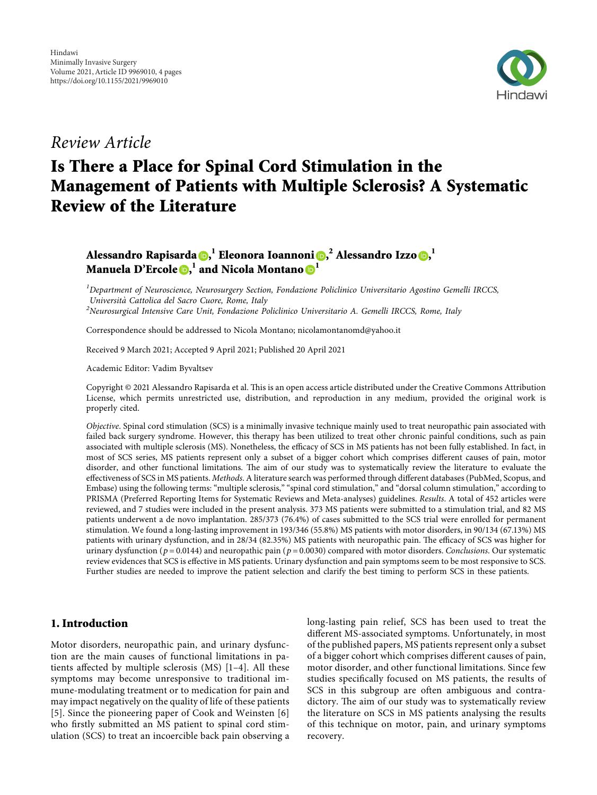

*Review Article*

# **Is There a Place for Spinal Cord Stimulation in the Management of Patients with Multiple Sclerosis? A Systematic Review of the Literature**

# **Alessandro Rapisarda [,](https://orcid.org/0000-0001-6942-7545) <sup>1</sup> Eleonora Ioannoni [,](https://orcid.org/0000-0003-0763-2572) <sup>2</sup> Alessandro Izzo , 1 Manuela D'Ercole , <sup>1</sup> and Nicola Montano <sup>1</sup>**

*1 Department of Neuroscience, Neurosurgery Section, Fondazione Policlinico Universitario Agostino Gemelli IRCCS, Universita` Cattolica del Sacro Cuore, Rome, Italy <sup>2</sup>*

*Neurosurgical Intensive Care Unit, Fondazione Policlinico Universitario A. Gemelli IRCCS, Rome, Italy*

Correspondence should be addressed to Nicola Montano; [nicolamontanomd@yahoo.it](mailto:nicolamontanomd@yahoo.it)

Received 9 March 2021; Accepted 9 April 2021; Published 20 April 2021

Academic Editor: Vadim Byvaltsev

Copyright © 2021 Alessandro Rapisarda et al. This is an open access article distributed under the [Creative Commons Attribution](https://creativecommons.org/licenses/by/4.0/) [License,](https://creativecommons.org/licenses/by/4.0/) which permits unrestricted use, distribution, and reproduction in any medium, provided the original work is properly cited.

*Objective*. Spinal cord stimulation (SCS) is a minimally invasive technique mainly used to treat neuropathic pain associated with failed back surgery syndrome. However, this therapy has been utilized to treat other chronic painful conditions, such as pain associated with multiple sclerosis (MS). Nonetheless, the efficacy of SCS in MS patients has not been fully established. In fact, in most of SCS series, MS patients represent only a subset of a bigger cohort which comprises different causes of pain, motor disorder, and other functional limitations. The aim of our study was to systematically review the literature to evaluate the effectiveness of SCS in MS patients. *Methods*. A literature search was performed through different databases (PubMed, Scopus, and Embase) using the following terms: "multiple sclerosis," "spinal cord stimulation," and "dorsal column stimulation," according to PRISMA (Preferred Reporting Items for Systematic Reviews and Meta-analyses) guidelines. *Results*. A total of 452 articles were reviewed, and 7 studies were included in the present analysis. 373 MS patients were submitted to a stimulation trial, and 82 MS patients underwent a de novo implantation. 285/373 (76.4%) of cases submitted to the SCS trial were enrolled for permanent stimulation. We found a long-lasting improvement in 193/346 (55.8%) MS patients with motor disorders, in 90/134 (67.13%) MS patients with urinary dysfunction, and in 28/34 (82.35%) MS patients with neuropathic pain. The efficacy of SCS was higher for urinary dysfunction ( $p = 0.0144$ ) and neuropathic pain ( $p = 0.0030$ ) compared with motor disorders. *Conclusions*. Our systematic review evidences that SCS is effective in MS patients. Urinary dysfunction and pain symptoms seem to be most responsive to SCS. Further studies are needed to improve the patient selection and clarify the best timing to perform SCS in these patients.

# **1. Introduction**

Motor disorders, neuropathic pain, and urinary dysfunction are the main causes of functional limitations in patients affected by multiple sclerosis (MS) [\[1–4\]](#page-3-0). All these symptoms may become unresponsive to traditional immune-modulating treatment or to medication for pain and may impact negatively on the quality of life of these patients [\[5](#page-3-0)]. Since the pioneering paper of Cook and Weinsten [[6\]](#page-3-0) who firstly submitted an MS patient to spinal cord stimulation (SCS) to treat an incoercible back pain observing a long-lasting pain relief, SCS has been used to treat the different MS-associated symptoms. Unfortunately, in most of the published papers, MS patients represent only a subset of a bigger cohort which comprises different causes of pain, motor disorder, and other functional limitations. Since few studies specifically focused on MS patients, the results of SCS in this subgroup are often ambiguous and contradictory. The aim of our study was to systematically review the literature on SCS in MS patients analysing the results of this technique on motor, pain, and urinary symptoms recovery.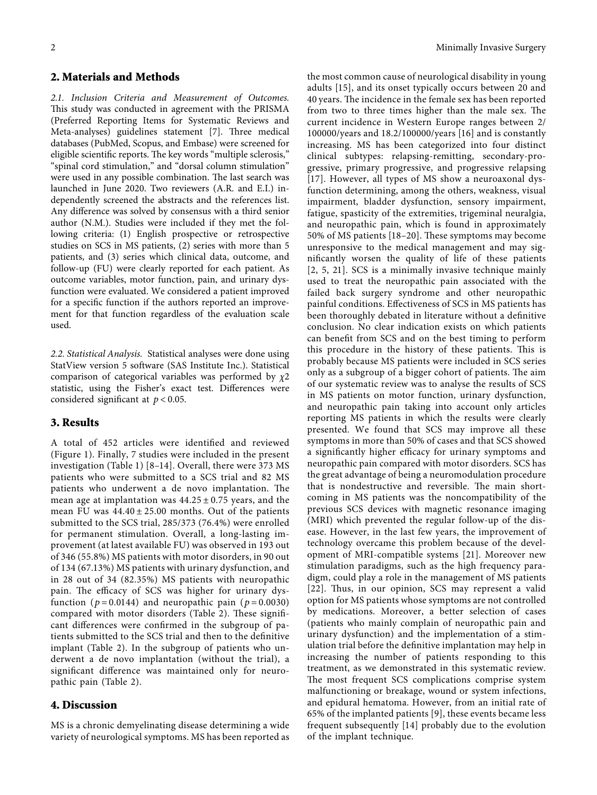# **2. Materials and Methods**

*2.1. Inclusion Criteria and Measurement of Outcomes.* This study was conducted in agreement with the PRISMA (Preferred Reporting Items for Systematic Reviews and Meta-analyses) guidelines statement [[7](#page-3-0)]. Three medical databases (PubMed, Scopus, and Embase) were screened for eligible scientific reports. The key words "multiple sclerosis," "spinal cord stimulation," and "dorsal column stimulation" were used in any possible combination. The last search was launched in June 2020. Two reviewers (A.R. and E.I.) independently screened the abstracts and the references list. Any difference was solved by consensus with a third senior author (N.M.). Studies were included if they met the following criteria: (1) English prospective or retrospective studies on SCS in MS patients, (2) series with more than 5 patients, and (3) series which clinical data, outcome, and follow-up (FU) were clearly reported for each patient. As outcome variables, motor function, pain, and urinary dysfunction were evaluated. We considered a patient improved for a specific function if the authors reported an improvement for that function regardless of the evaluation scale used.

*2.2. Statistical Analysis.* Statistical analyses were done using StatView version 5 software (SAS Institute Inc.). Statistical comparison of categorical variables was performed by *χ*2 statistic, using the Fisher's exact test. Differences were considered significant at *p* < 0.05.

# **3. Results**

A total of 452 articles were identified and reviewed (Figure [1](#page-2-0)). Finally, 7 studies were included in the present investigation (Table [1\)](#page-2-0) [\[8](#page-3-0)–[14](#page-3-0)]. Overall, there were 373 MS patients who were submitted to a SCS trial and 82 MS patients who underwent a de novo implantation. The mean age at implantation was  $44.25 \pm 0.75$  years, and the mean FU was  $44.40 \pm 25.00$  months. Out of the patients submitted to the SCS trial, 285/373 (76.4%) were enrolled for permanent stimulation. Overall, a long-lasting improvement (at latest available FU) was observed in 193 out of 346 (55.8%) MS patients with motor disorders, in 90 out of 134 (67.13%) MS patients with urinary dysfunction, and in 28 out of 34 (82.35%) MS patients with neuropathic pain. The efficacy of SCS was higher for urinary dysfunction ( $p = 0.0144$ ) and neuropathic pain ( $p = 0.0030$ ) compared with motor disorders (Table [2](#page-2-0)). These significant differences were confirmed in the subgroup of patients submitted to the SCS trial and then to the definitive implant (Table [2](#page-2-0)). In the subgroup of patients who underwent a de novo implantation (without the trial), a significant difference was maintained only for neuropathic pain (Table [2\)](#page-2-0).

## **4. Discussion**

MS is a chronic demyelinating disease determining a wide variety of neurological symptoms. MS has been reported as

the most common cause of neurological disability in young adults [[15\]](#page-3-0), and its onset typically occurs between 20 and 40 years. The incidence in the female sex has been reported from two to three times higher than the male sex. The current incidence in Western Europe ranges between 2/ 100000/years and 18.2/100000/years [\[16\]](#page-3-0) and is constantly increasing. MS has been categorized into four distinct clinical subtypes: relapsing-remitting, secondary-progressive, primary progressive, and progressive relapsing [[17\]](#page-3-0). However, all types of MS show a neuroaxonal dysfunction determining, among the others, weakness, visual impairment, bladder dysfunction, sensory impairment, fatigue, spasticity of the extremities, trigeminal neuralgia, and neuropathic pain, which is found in approximately 50% of MS patients  $[18–20]$ . These symptoms may become unresponsive to the medical management and may significantly worsen the quality of life of these patients [[2, 5, 21](#page-3-0)]. SCS is a minimally invasive technique mainly used to treat the neuropathic pain associated with the failed back surgery syndrome and other neuropathic painful conditions. Effectiveness of SCS in MS patients has been thoroughly debated in literature without a definitive conclusion. No clear indication exists on which patients can benefit from SCS and on the best timing to perform this procedure in the history of these patients. This is probably because MS patients were included in SCS series only as a subgroup of a bigger cohort of patients. The aim of our systematic review was to analyse the results of SCS in MS patients on motor function, urinary dysfunction, and neuropathic pain taking into account only articles reporting MS patients in which the results were clearly presented. We found that SCS may improve all these symptoms in more than 50% of cases and that SCS showed a significantly higher efficacy for urinary symptoms and neuropathic pain compared with motor disorders. SCS has the great advantage of being a neuromodulation procedure that is nondestructive and reversible. The main shortcoming in MS patients was the noncompatibility of the previous SCS devices with magnetic resonance imaging (MRI) which prevented the regular follow-up of the disease. However, in the last few years, the improvement of technology overcame this problem because of the development of MRI-compatible systems [[21](#page-3-0)]. Moreover new stimulation paradigms, such as the high frequency paradigm, could play a role in the management of MS patients [[22](#page-3-0)]. Thus, in our opinion, SCS may represent a valid option for MS patients whose symptoms are not controlled by medications. Moreover, a better selection of cases (patients who mainly complain of neuropathic pain and urinary dysfunction) and the implementation of a stimulation trial before the definitive implantation may help in increasing the number of patients responding to this treatment, as we demonstrated in this systematic review. The most frequent SCS complications comprise system malfunctioning or breakage, wound or system infections, and epidural hematoma. However, from an initial rate of 65% of the implanted patients [[9\]](#page-3-0), these events became less frequent subsequently [[14](#page-3-0)] probably due to the evolution of the implant technique.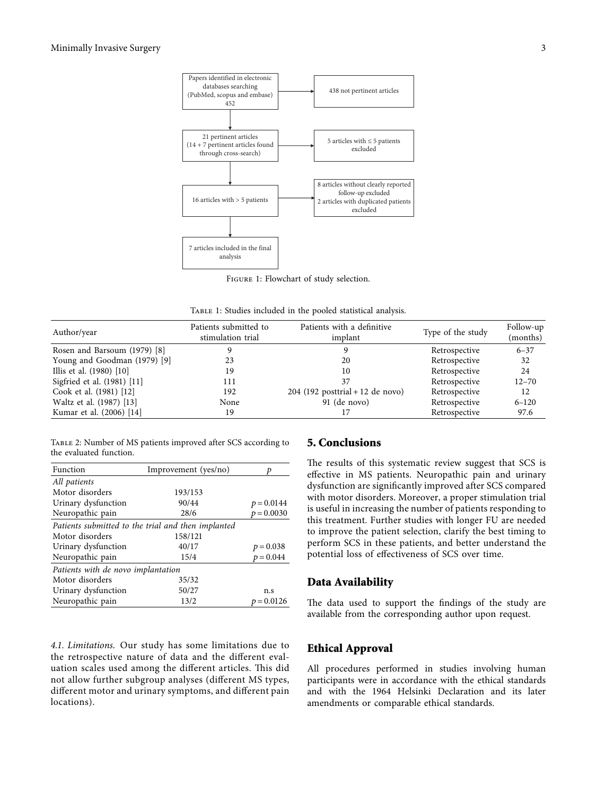<span id="page-2-0"></span>

Figure 1: Flowchart of study selection.

TABLE 1: Studies included in the pooled statistical analysis.

| Author/year                  | Patients submitted to<br>stimulation trial | Patients with a definitive<br>implant | Type of the study | Follow-up<br>(months) |
|------------------------------|--------------------------------------------|---------------------------------------|-------------------|-----------------------|
| Rosen and Barsoum (1979) [8] |                                            |                                       | Retrospective     | $6 - 37$              |
| Young and Goodman (1979) [9] | 23                                         | 20                                    | Retrospective     | 32                    |
| Illis et al. (1980) [10]     | 19                                         | 10                                    | Retrospective     | 24                    |
| Sigfried et al. (1981) [11]  | 111                                        | 37                                    | Retrospective     | $12 - 70$             |
| Cook et al. (1981) [12]      | 192                                        | $204$ (192 posttrial + 12 de novo)    | Retrospective     | 12                    |
| Waltz et al. (1987) [13]     | None                                       | 91 (de novo)                          | Retrospective     | $6 - 120$             |
| Kumar et al. (2006) [14]     | 19                                         |                                       | Retrospective     | 97.6                  |

Table 2: Number of MS patients improved after SCS according to the evaluated function.

| Function                                           | Improvement (yes/no) |              |  |  |
|----------------------------------------------------|----------------------|--------------|--|--|
| All patients                                       |                      |              |  |  |
| Motor disorders                                    | 193/153              |              |  |  |
| Urinary dysfunction                                | 90/44                | $p = 0.0144$ |  |  |
| Neuropathic pain                                   | 28/6                 | $p = 0.0030$ |  |  |
| Patients submitted to the trial and then implanted |                      |              |  |  |
| Motor disorders                                    | 158/121              |              |  |  |
| Urinary dysfunction                                | 40/17                | $p = 0.038$  |  |  |
| Neuropathic pain                                   | 15/4                 | $p = 0.044$  |  |  |
| Patients with de novo implantation                 |                      |              |  |  |
| Motor disorders                                    | 35/32                |              |  |  |
| Urinary dysfunction                                | 50/27                | n.s          |  |  |
| Neuropathic pain                                   | 13/2                 | $= 0.0126$   |  |  |

*4.1. Limitations.* Our study has some limitations due to the retrospective nature of data and the different evaluation scales used among the different articles. This did not allow further subgroup analyses (different MS types, different motor and urinary symptoms, and different pain locations).

#### **5. Conclusions**

The results of this systematic review suggest that SCS is effective in MS patients. Neuropathic pain and urinary dysfunction are significantly improved after SCS compared with motor disorders. Moreover, a proper stimulation trial is useful in increasing the number of patients responding to this treatment. Further studies with longer FU are needed to improve the patient selection, clarify the best timing to perform SCS in these patients, and better understand the potential loss of effectiveness of SCS over time.

#### **Data Availability**

The data used to support the findings of the study are available from the corresponding author upon request.

#### **Ethical Approval**

All procedures performed in studies involving human participants were in accordance with the ethical standards and with the 1964 Helsinki Declaration and its later amendments or comparable ethical standards.